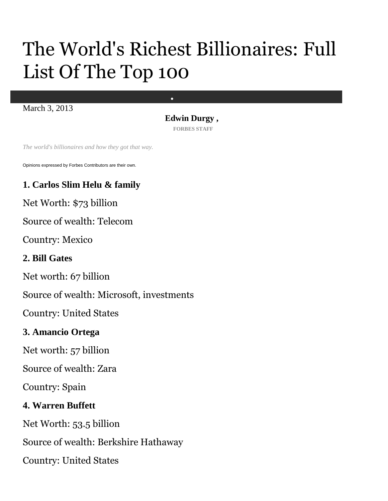# The World's Richest Billionaires: Full List Of The Top 100

 $\bullet$ 

#### March 3, 2013

**[Edwin](http://www.forbes.com/sites/edwindurgy/) Durgy , FORBES STAFF**

*The world's billionaires and how they got that way.*

Opinions expressed by Forbes Contributors are their own.

#### **1. Carlos Slim Helu & family**

Net Worth: \$73 billion

Source of wealth: Telecom

Country: Mexico

#### **2. Bill Gates**

Net worth: 67 billion

Source of wealth: Microsoft, investments

Country: United States

#### **3. Amancio Ortega**

Net worth: 57 billion

Source of wealth: Zara

Country: Spain

#### **4. Warren Buffett**

Net Worth: 53.5 billion

Source of wealth: Berkshire Hathaway

Country: United States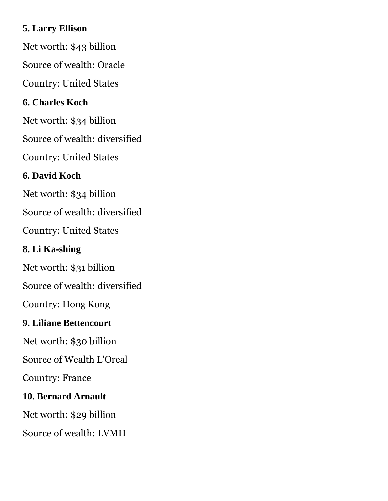#### **5. Larry Ellison**

Net worth: \$43 billion

Source of wealth: Oracle

Country: United States

#### **6. Charles Koch**

Net worth: \$34 billion

Source of wealth: diversified

Country: United States

# **6. David Koch**

Net worth: \$34 billion

Source of wealth: diversified

Country: United States

# **8. Li Ka-shing**

Net worth: \$31 billion

Source of wealth: diversified

Country: Hong Kong

## **9. Liliane Bettencourt**

Net worth: \$30 billion

Source of Wealth L'Oreal

Country: France

## **10. Bernard Arnault**

Net worth: \$29 billion

Source of wealth: LVMH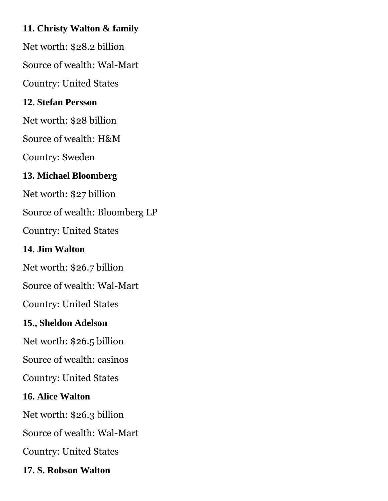## **11. Christy Walton & family**

Net worth: \$28.2 billion

Source of wealth: Wal-Mart

Country: United States

#### **12. Stefan Persson**

Net worth: \$28 billion

Source of wealth: H&M

Country: Sweden

## **13. Michael Bloomberg**

Net worth: \$27 billion

Source of wealth: Bloomberg LP

Country: United States

## **14. Jim Walton**

Net worth: \$26.7 billion

Source of wealth: Wal-Mart

Country: United States

## **15., Sheldon Adelson**

Net worth: \$26.5 billion

Source of wealth: casinos

Country: United States

## **16. Alice Walton**

Net worth: \$26.3 billion

Source of wealth: Wal-Mart

Country: United States

**17. S. Robson Walton**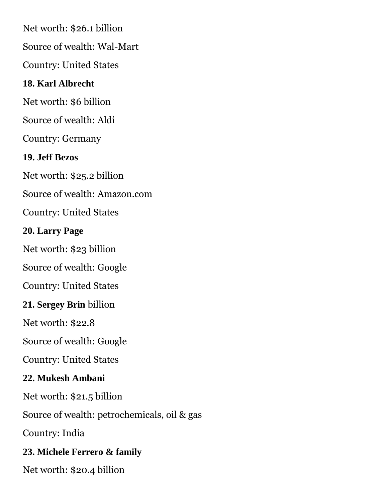Net worth: \$26.1 billion Source of wealth: Wal-Mart Country: United States **18. Karl Albrecht** Net worth: \$6 billion Source of wealth: Aldi Country: Germany **19. Jeff Bezos** Net worth: \$25.2 billion Source of wealth: Amazon.com Country: United States **20. Larry Page** Net worth: \$23 billion Source of wealth: Google Country: United States **21. Sergey Brin** billion Net worth: \$22.8 Source of wealth: Google Country: United States **22. Mukesh Ambani** Net worth: \$21.5 billion Source of wealth: petrochemicals, oil & gas Country: India **23. Michele Ferrero & family** Net worth: \$20.4 billion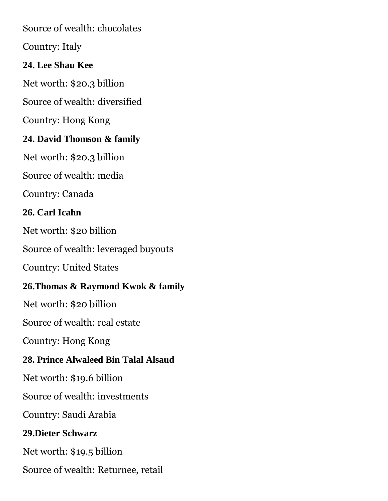Source of wealth: chocolates

Country: Italy

#### **24. Lee Shau Kee**

Net worth: \$20.3 billion

Source of wealth: diversified

Country: Hong Kong

## **24. David Thomson & family**

Net worth: \$20.3 billion

Source of wealth: media

Country: Canada

## **26. Carl Icahn**

Net worth: \$20 billion

Source of wealth: leveraged buyouts

Country: United States

## **26.Thomas & Raymond Kwok & family**

Net worth: \$20 billion

Source of wealth: real estate

Country: Hong Kong

## **28. Prince Alwaleed Bin Talal Alsaud**

Net worth: \$19.6 billion

Source of wealth: investments

Country: Saudi Arabia

#### **29.Dieter Schwarz**

Net worth: \$19.5 billion

Source of wealth: Returnee, retail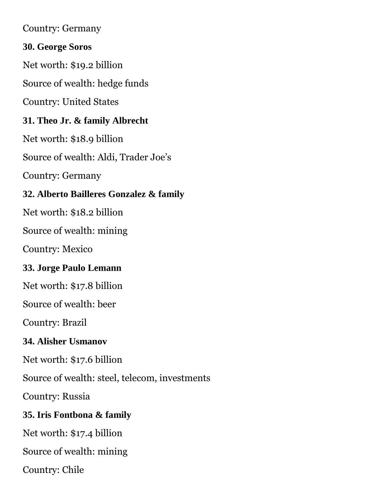Country: Germany

#### **30. George Soros**

Net worth: \$19.2 billion

Source of wealth: hedge funds

Country: United States

#### **31. Theo Jr. & family Albrecht**

Net worth: \$18.9 billion

Source of wealth: Aldi, Trader Joe's

Country: Germany

## **32. Alberto Bailleres Gonzalez & family**

Net worth: \$18.2 billion

Source of wealth: mining

Country: Mexico

## **33. Jorge Paulo Lemann**

Net worth: \$17.8 billion

Source of wealth: beer

Country: Brazil

#### **34. Alisher Usmanov**

Net worth: \$17.6 billion

Source of wealth: steel, telecom, investments

Country: Russia

#### **35. Iris Fontbona & family**

Net worth: \$17.4 billion

Source of wealth: mining

Country: Chile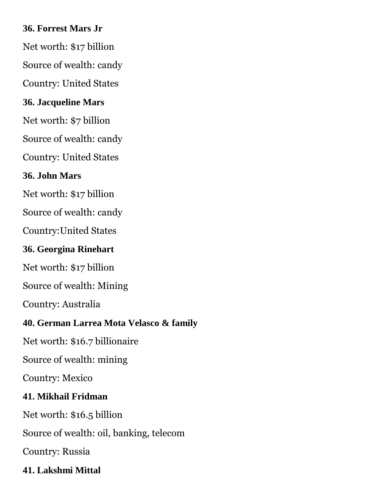#### **36. Forrest Mars Jr**

Net worth: \$17 billion

Source of wealth: candy

Country: United States

#### **36. Jacqueline Mars**

Net worth: \$7 billion

Source of wealth: candy

Country: United States

#### **36. John Mars**

Net worth: \$17 billion

Source of wealth: candy

Country:United States

#### **36. Georgina Rinehart**

Net worth: \$17 billion

Source of wealth: Mining

Country: Australia

#### **40. German Larrea Mota Velasco & family**

Net worth: \$16.7 billionaire

Source of wealth: mining

Country: Mexico

#### **41. Mikhail Fridman**

Net worth: \$16.5 billion

Source of wealth: oil, banking, telecom

Country: Russia

**41. Lakshmi Mittal**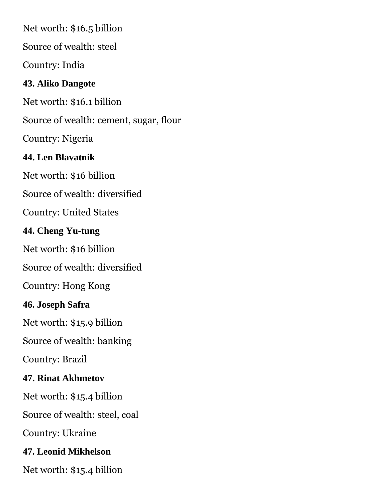Net worth: \$16.5 billion Source of wealth: steel Country: India **43. Aliko Dangote** Net worth: \$16.1 billion Source of wealth: cement, sugar, flour Country: Nigeria **44. Len Blavatnik** Net worth: \$16 billion Source of wealth: diversified Country: United States **44. Cheng Yu-tung** Net worth: \$16 billion Source of wealth: diversified Country: Hong Kong **46. Joseph Safra** Net worth: \$15.9 billion Source of wealth: banking Country: Brazil **47. Rinat Akhmetov** Net worth: \$15.4 billion Source of wealth: steel, coal Country: Ukraine **47. Leonid Mikhelson** Net worth: \$15.4 billion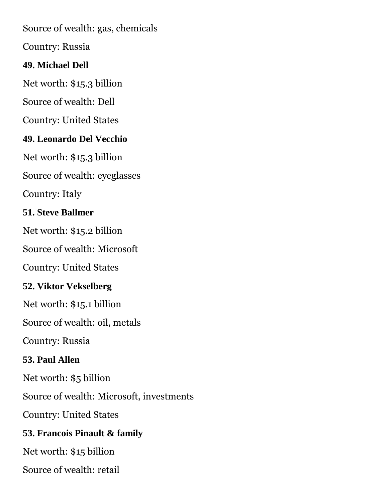Source of wealth: gas, chemicals

Country: Russia

#### **49. Michael Dell**

Net worth: \$15.3 billion

Source of wealth: Dell

Country: United States

## **49. Leonardo Del Vecchio**

Net worth: \$15.3 billion

Source of wealth: eyeglasses

Country: Italy

## **51. Steve Ballmer**

Net worth: \$15.2 billion

Source of wealth: Microsoft

Country: United States

## **52. Viktor Vekselberg**

Net worth: \$15.1 billion

Source of wealth: oil, metals

Country: Russia

# **53. Paul Allen**

Net worth: \$5 billion

Source of wealth: Microsoft, investments

Country: United States

## **53. Francois Pinault & family**

Net worth: \$15 billion

Source of wealth: retail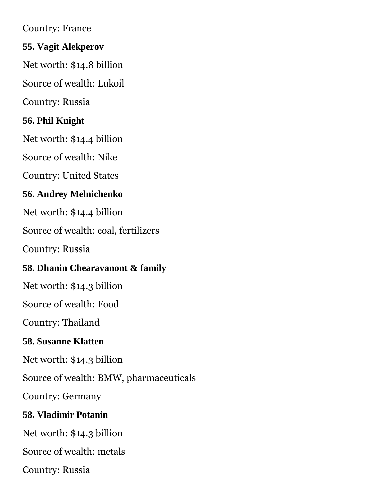Country: France

#### **55. Vagit Alekperov**

Net worth: \$14.8 billion

Source of wealth: Lukoil

Country: Russia

## **56. Phil Knight**

Net worth: \$14.4 billion

Source of wealth: Nike

Country: United States

## **56. Andrey Melnichenko**

Net worth: \$14.4 billion

## Source of wealth: coal, fertilizers

Country: Russia

## **58. Dhanin Chearavanont & family**

Net worth: \$14.3 billion

Source of wealth: Food

Country: Thailand

## **58. Susanne Klatten**

Net worth: \$14.3 billion

Source of wealth: BMW, pharmaceuticals

Country: Germany

## **58. Vladimir Potanin**

Net worth: \$14.3 billion

Source of wealth: metals

Country: Russia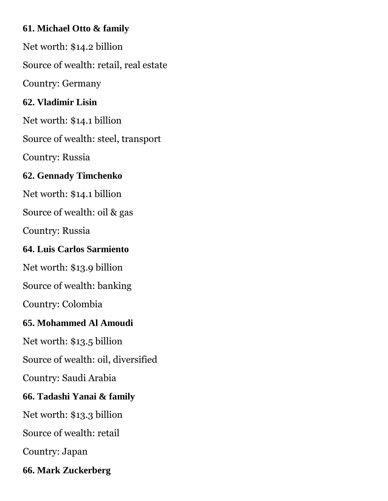#### **61. Michael Otto & family**

Net worth: \$14.2 billion Source of wealth: retail, real estate Country: Germany **62. Vladimir Lisin** Net worth: \$14.1 billion Source of wealth: steel, transport Country: Russia **62. Gennady Timchenko** Net worth: \$14.1 billion Source of wealth: oil & gas Country: Russia **64. Luis Carlos Sarmiento** Net worth: \$13.9 billion Source of wealth: banking Country: Colombia **65. Mohammed Al Amoudi** Net worth: \$13.5 billion Source of wealth: oil, diversified Country: Saudi Arabia **66. Tadashi Yanai & family** Net worth: \$13.3 billion Source of wealth: retail Country: Japan **66. Mark Zuckerberg**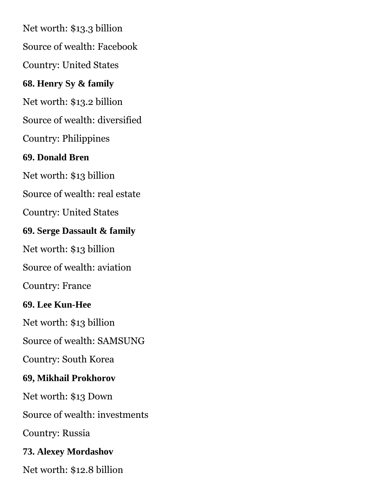Net worth: \$13.3 billion Source of wealth: Facebook Country: United States **68. Henry Sy & family** Net worth: \$13.2 billion Source of wealth: diversified Country: Philippines **69. Donald Bren** Net worth: \$13 billion Source of wealth: real estate Country: United States **69. Serge Dassault & family** Net worth: \$13 billion Source of wealth: aviation Country: France **69. Lee Kun-Hee** Net worth: \$13 billion Source of wealth: SAMSUNG Country: South Korea **69, Mikhail Prokhorov** Net worth: \$13 Down Source of wealth: investments Country: Russia **73. Alexey Mordashov** Net worth: \$12.8 billion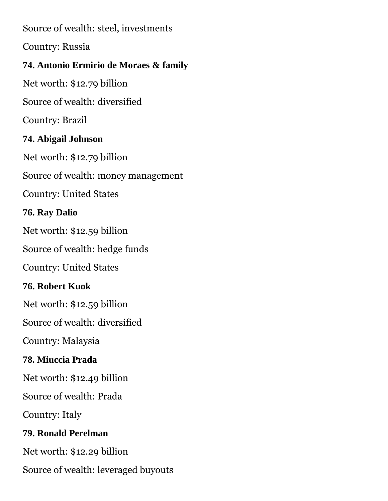Source of wealth: steel, investments

Country: Russia

## **74. Antonio Ermirio de Moraes & family**

Net worth: \$12.79 billion

Source of wealth: diversified

Country: Brazil

## **74. Abigail Johnson**

Net worth: \$12.79 billion

Source of wealth: money management

Country: United States

## **76. Ray Dalio**

Net worth: \$12.59 billion

Source of wealth: hedge funds

Country: United States

## **76. Robert Kuok**

Net worth: \$12.59 billion

Source of wealth: diversified

Country: Malaysia

# **78. Miuccia Prada**

Net worth: \$12.49 billion

Source of wealth: Prada

Country: Italy

# **79. Ronald Perelman**

Net worth: \$12.29 billion

Source of wealth: leveraged buyouts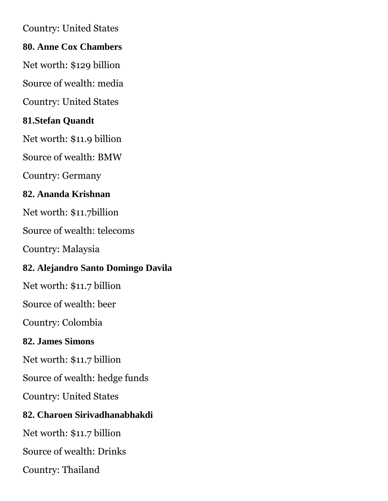Country: United States

#### **80. Anne Cox Chambers**

Net worth: \$129 billion

Source of wealth: media

Country: United States

#### **81.Stefan Quandt**

Net worth: \$11.9 billion

Source of wealth: BMW

Country: Germany

## **82. Ananda Krishnan**

Net worth: \$11.7billion

Source of wealth: telecoms

Country: Malaysia

# **82. Alejandro Santo Domingo Davila**

Net worth: \$11.7 billion

Source of wealth: beer

Country: Colombia

## **82. James Simons**

Net worth: \$11.7 billion

Source of wealth: hedge funds

Country: United States

## **82. Charoen Sirivadhanabhakdi**

Net worth: \$11.7 billion

Source of wealth: Drinks

Country: Thailand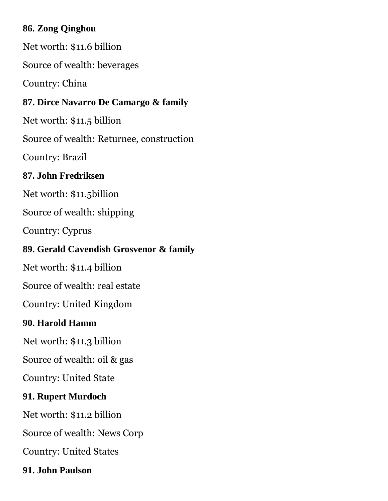#### **86. Zong Qinghou**

Net worth: \$11.6 billion Source of wealth: beverages Country: China **87. Dirce Navarro De Camargo & family** Net worth: \$11.5 billion Source of wealth: Returnee, construction Country: Brazil **87. John Fredriksen** Net worth: \$11.5billion Source of wealth: shipping Country: Cyprus **89. Gerald Cavendish Grosvenor & family** Net worth: \$11.4 billion Source of wealth: real estate Country: United Kingdom **90. Harold Hamm** Net worth: \$11.3 billion Source of wealth: oil & gas Country: United State **91. Rupert Murdoch** Net worth: \$11.2 billion Source of wealth: News Corp Country: United States **91. John Paulson**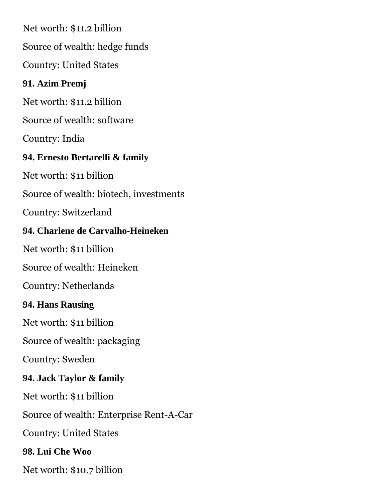Net worth: \$11.2 billion Source of wealth: hedge funds Country: United States **91. Azim Premj** Net worth: \$11.2 billion Source of wealth: software Country: India **94. Ernesto Bertarelli & family** Net worth: \$11 billion Source of wealth: biotech, investments Country: Switzerland **94. Charlene de Carvalho-Heineken** Net worth: \$11 billion Source of wealth: Heineken Country: Netherlands **94. Hans Rausing** Net worth: \$11 billion Source of wealth: packaging Country: Sweden **94. Jack Taylor & family** Net worth: \$11 billion Source of wealth: Enterprise Rent-A-Car Country: United States **98. Lui Che Woo** Net worth: \$10.7 billion